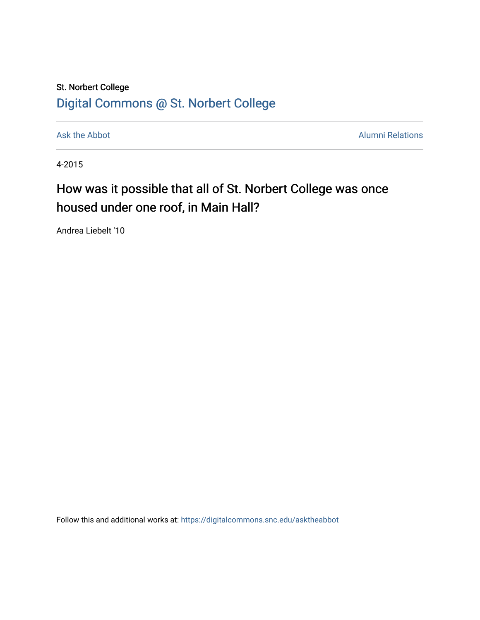## St. Norbert College [Digital Commons @ St. Norbert College](https://digitalcommons.snc.edu/)

[Ask the Abbot](https://digitalcommons.snc.edu/asktheabbot) **Alumni Relations** Alumni Relations

4-2015

## How was it possible that all of St. Norbert College was once housed under one roof, in Main Hall?

Andrea Liebelt '10

Follow this and additional works at: [https://digitalcommons.snc.edu/asktheabbot](https://digitalcommons.snc.edu/asktheabbot?utm_source=digitalcommons.snc.edu%2Fasktheabbot%2F102&utm_medium=PDF&utm_campaign=PDFCoverPages)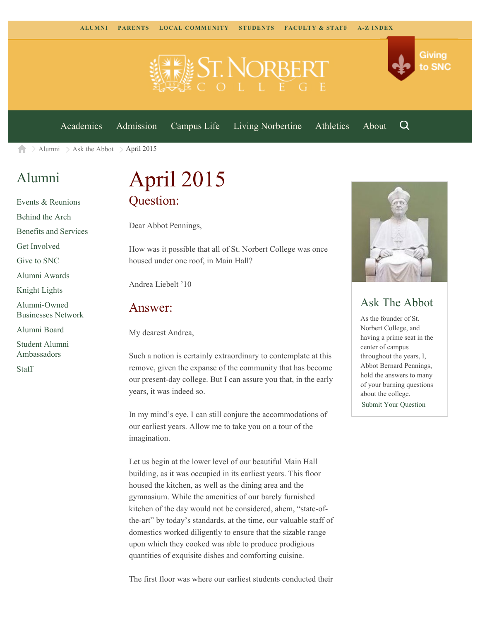

[Academics](https://www.snc.edu/academics) [Admission](https://www.snc.edu/admission) [Campus Life](https://www.snc.edu/campuslife) [Living Norbertine](https://www.snc.edu/livingnorbertine) [Athletics](https://www.snc.edu/athletics) [About](https://www.snc.edu/about)

Q

Giving

to SNC

 $\ge$  [Alumni](https://www.snc.edu/alumni/)  $\ge$  [Ask the Abbot](https://www.snc.edu/alumni/abbot/)  $\ge$  April 2015 合

## [Alumni](https://www.snc.edu/alumni/index.html)

[Events & Reunions](https://www.snc.edu/alumni/event/index.html) [Behind the Arch](https://www.snc.edu/alumni/event/behindthearch/) [Benefits and Services](https://www.snc.edu/alumni/benefits.html) [Get Involved](https://www.snc.edu/alumni/getinvolved.html) [Give to SNC](http://giving.snc.edu/) [Alumni Awards](https://www.snc.edu/alumni/awards/index.html) [Knight Lights](https://www.snc.edu/alumni/knightlights/index.html) [Alumni-Owned](https://www.snc.edu/alumni/directory/index.html) [Businesses Network](https://www.snc.edu/alumni/directory/index.html) [Alumni Board](https://www.snc.edu/alumni/alumniboard.html) [Student Alumni](https://www.snc.edu/alumni/saa.html) [Ambassadors](https://www.snc.edu/alumni/saa.html) [Staff](https://www.snc.edu/alumni/contactus.html)

# April 2015 Question:

Dear Abbot Pennings,

How was it possible that all of St. Norbert College was once housed under one roof, in Main Hall?

Andrea Liebelt '10

#### Answer:

My dearest Andrea,

Such a notion is certainly extraordinary to contemplate at this remove, given the expanse of the community that has become our present-day college. But I can assure you that, in the early years, it was indeed so.

In my mind's eye, I can still conjure the accommodations of our earliest years. Allow me to take you on a tour of the imagination.

Let us begin at the lower level of our beautiful Main Hall building, as it was occupied in its earliest years. This floor housed the kitchen, as well as the dining area and the gymnasium. While the amenities of our barely furnished kitchen of the day would not be considered, ahem, "state-ofthe-art" by today's standards, at the time, our valuable staff of domestics worked diligently to ensure that the sizable range upon which they cooked was able to produce prodigious quantities of exquisite dishes and comforting cuisine.



### Ask The Abbot

As the founder of St. Norbert College, and having a prime seat in the center of campus throughout the years, I, Abbot Bernard Pennings, hold the answers to many of your burning questions about the college. [Submit Your Question](https://www.snc.edu/alumni/abbot/index.html)

The first floor was where our earliest students conducted their